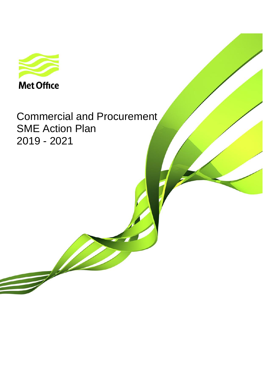

Commercial and Procurement SME Action Plan 2019 - 2021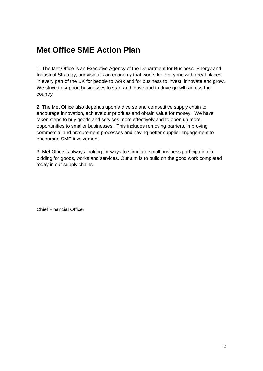# **Met Office SME Action Plan**

1. The Met Office is an Executive Agency of the Department for Business, Energy and Industrial Strategy, our vision is an economy that works for everyone with great places in every part of the UK for people to work and for business to invest, innovate and grow. We strive to support businesses to start and thrive and to drive growth across the country.

2. The Met Office also depends upon a diverse and competitive supply chain to encourage innovation, achieve our priorities and obtain value for money. We have taken steps to buy goods and services more effectively and to open up more opportunities to smaller businesses. This includes removing barriers, improving commercial and procurement processes and having better supplier engagement to encourage SME involvement.

3. Met Office is always looking for ways to stimulate small business participation in bidding for goods, works and services. Our aim is to build on the good work completed today in our supply chains.

Chief Financial Officer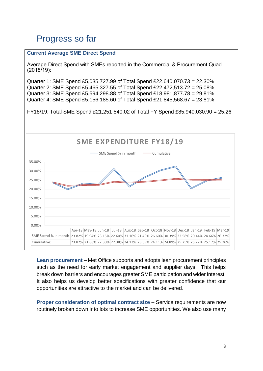# Progress so far

### **Current Average SME Direct Spend**

Average Direct Spend with SMEs reported in the Commercial & Procurement Quad (2018/19):

Quarter 1: SME Spend £5,035,727.99 of Total Spend £22,640,070.73 = 22.30% Quarter 2: SME Spend £5,465,327.55 of Total Spend £22,472,513.72 = 25.08% Quarter 3: SME Spend £5,594,298.88 of Total Spend £18,981,877.78 = 29.81% Quarter 4: SME Spend £5,156,185.60 of Total Spend £21,845,568.67 = 23.81%

FY18/19: Total SME Spend £21,251,540.02 of Total FY Spend £85,940,030.90 = 25.26



**Lean procurement** – Met Office supports and adopts lean procurement principles such as the need for early market engagement and supplier days. This helps break down barriers and encourages greater SME participation and wider interest. It also helps us develop better specifications with greater confidence that our opportunities are attractive to the market and can be delivered.

**Proper consideration of optimal contract size** – Service requirements are now routinely broken down into lots to increase SME opportunities. We also use many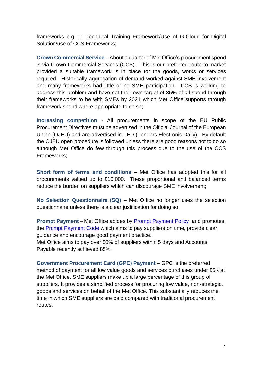frameworks e.g. IT Technical Training Framework/Use of G-Cloud for Digital Solution/use of CCS Frameworks;

**Crown Commercial Service** – About a quarter of Met Office's procurement spend is via Crown Commercial Services (CCS). This is our preferred route to market provided a suitable framework is in place for the goods, works or services required. Historically aggregation of demand worked against SME involvement and many frameworks had little or no SME participation. CCS is working to address this problem and have set their own target of 35% of all spend through their frameworks to be with SMEs by 2021 which Met Office supports through framework spend where appropriate to do so;

**Increasing competition** - All procurements in scope of the EU Public Procurement Directives must be advertised in the Official Journal of the European Union (OJEU) and are advertised in TED (Tenders Electronic Daily). By default the OJEU open procedure is followed unless there are good reasons not to do so although Met Office do few through this process due to the use of the CCS Frameworks;

**Short form of terms and conditions** – Met Office has adopted this for all procurements valued up to £10,000. These proportional and balanced terms reduce the burden on suppliers which can discourage SME involvement;

**No Selection Questionnaire (SQ)** – Met Office no longer uses the selection questionnaire unless there is a clear justification for doing so;

**Prompt Payment** – Met Office abides by [Prompt Payment Policy](https://www.gov.uk/guidance/prompt-payment-policy) and promotes the **Prompt Payment Code** which aims to pay suppliers on time, provide clear guidance and encourage good payment practice.

Met Office aims to pay over 80% of suppliers within 5 days and Accounts Payable recently achieved 85%.

**Government Procurement Card (GPC) Payment** – GPC is the preferred method of payment for all low value goods and services purchases under £5K at the Met Office. SME suppliers make up a large percentage of this group of suppliers. It provides a simplified process for procuring low value, non-strategic, goods and services on behalf of the Met Office. This substantially reduces the time in which SME suppliers are paid compared with traditional procurement routes.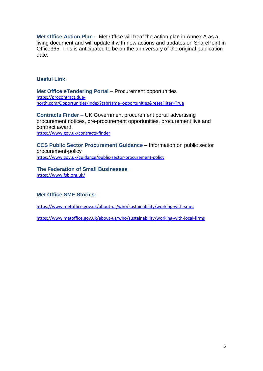**Met Office Action Plan** – Met Office will treat the action plan in Annex A as a living document and will update it with new actions and updates on SharePoint in Office365. This is anticipated to be on the anniversary of the original publication date.

# **Useful Link:**

**Met Office eTendering Portal - Procurement opportunities** [https://procontract.due](https://procontract.due-north.com/Opportunities/Index?tabName=opportunities&resetFilter=True)[north.com/Opportunities/Index?tabName=opportunities&resetFilter=True](https://procontract.due-north.com/Opportunities/Index?tabName=opportunities&resetFilter=True)

**Contracts Finder** – UK Government procurement portal advertising procurement notices, pre-procurement opportunities, procurement live and contract award. <https://www.gov.uk/contracts-finder>

**CCS Public Sector Procurement Guidance** – Information on public sector procurement-policy <https://www.gov.uk/guidance/public-sector-procurement-policy>

**The Federation of Small Businesses** <https://www.fsb.org.uk/>

## **Met Office SME Stories:**

<https://www.metoffice.gov.uk/about-us/who/sustainability/working-with-smes>

<https://www.metoffice.gov.uk/about-us/who/sustainability/working-with-local-firms>